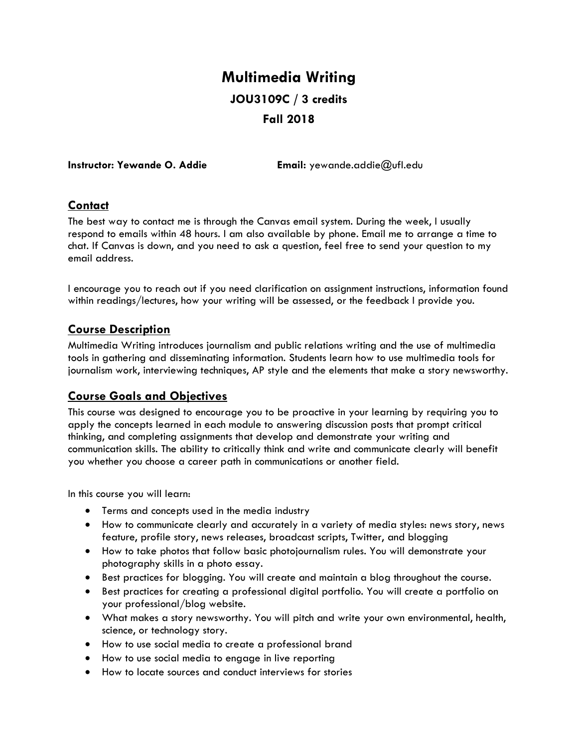# **Multimedia Writing JOU3109C / 3 credits Fall 2018**

**Instructor: Yewande O. Addie Email:** yewande.addie@ufl.edu

## **Contact**

The best way to contact me is through the Canvas email system. During the week, I usually respond to emails within 48 hours. I am also available by phone. Email me to arrange a time to chat. If Canvas is down, and you need to ask a question, feel free to send your question to my email address.

I encourage you to reach out if you need clarification on assignment instructions, information found within readings/lectures, how your writing will be assessed, or the feedback I provide you.

## **Course Description**

Multimedia Writing introduces journalism and public relations writing and the use of multimedia tools in gathering and disseminating information. Students learn how to use multimedia tools for journalism work, interviewing techniques, AP style and the elements that make a story newsworthy.

## **Course Goals and Objectives**

This course was designed to encourage you to be proactive in your learning by requiring you to apply the concepts learned in each module to answering discussion posts that prompt critical thinking, and completing assignments that develop and demonstrate your writing and communication skills. The ability to critically think and write and communicate clearly will benefit you whether you choose a career path in communications or another field.

In this course you will learn:

- Terms and concepts used in the media industry
- How to communicate clearly and accurately in a variety of media styles: news story, news feature, profile story, news releases, broadcast scripts, Twitter, and blogging
- How to take photos that follow basic photojournalism rules. You will demonstrate your photography skills in a photo essay.
- Best practices for blogging. You will create and maintain a blog throughout the course.
- Best practices for creating a professional digital portfolio. You will create a portfolio on your professional/blog website.
- What makes a story newsworthy. You will pitch and write your own environmental, health, science, or technology story.
- How to use social media to create a professional brand
- How to use social media to engage in live reporting
- How to locate sources and conduct interviews for stories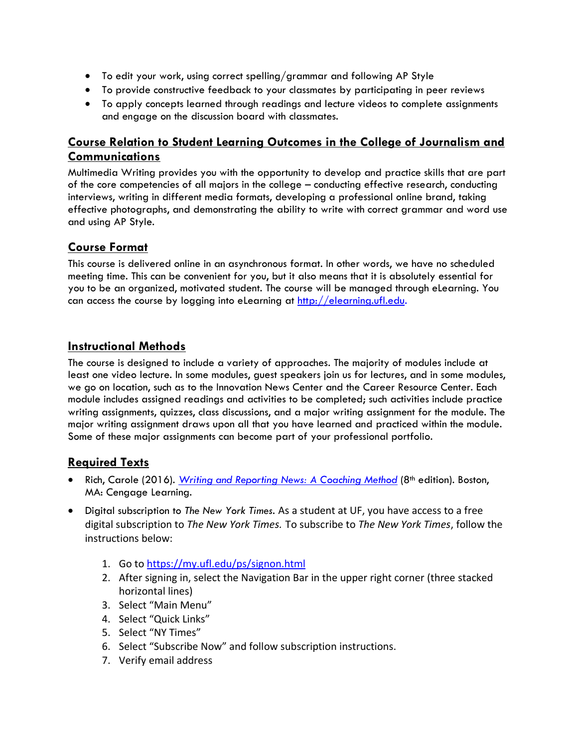- To edit your work, using correct spelling/grammar and following AP Style
- To provide constructive feedback to your classmates by participating in peer reviews
- To apply concepts learned through readings and lecture videos to complete assignments and engage on the discussion board with classmates.

## **Course Relation to Student Learning Outcomes in the College of Journalism and Communications**

Multimedia Writing provides you with the opportunity to develop and practice skills that are part of the core competencies of all majors in the college – conducting effective research, conducting interviews, writing in different media formats, developing a professional online brand, taking effective photographs, and demonstrating the ability to write with correct grammar and word use and using AP Style.

## **Course Format**

This course is delivered online in an asynchronous format. In other words, we have no scheduled meeting time. This can be convenient for you, but it also means that it is absolutely essential for you to be an organized, motivated student. The course will be managed through eLearning. You can access the course by logging into eLearning at [http://elearning.ufl.edu.](http://elearning.ufl.edu/)

## **Instructional Methods**

The course is designed to include a variety of approaches. The majority of modules include at least one video lecture. In some modules, guest speakers join us for lectures, and in some modules, we go on location, such as to the Innovation News Center and the Career Resource Center. Each module includes assigned readings and activities to be completed; such activities include practice writing assignments, quizzes, class discussions, and a major writing assignment for the module. The major writing assignment draws upon all that you have learned and practiced within the module. Some of these major assignments can become part of your professional portfolio.

## **Required Texts**

- Rich, Carole (2016). *[Writing and Reporting News: A Coaching Method](https://www.cengage.com/c/writing-and-reporting-news-a-coaching-method-8e-rich)* (8<sup>th</sup> edition). Boston, MA: Cengage Learning.
- Digital subscription to *The New York Times.* As a student at UF, you have access to a free digital subscription to *The New York Times.* To subscribe to *The New York Times*, follow the instructions below:
	- 1. Go to<https://my.ufl.edu/ps/signon.html>
	- 2. After signing in, select the Navigation Bar in the upper right corner (three stacked horizontal lines)
	- 3. Select "Main Menu"
	- 4. Select "Quick Links"
	- 5. Select "NY Times"
	- 6. Select "Subscribe Now" and follow subscription instructions.
	- 7. Verify email address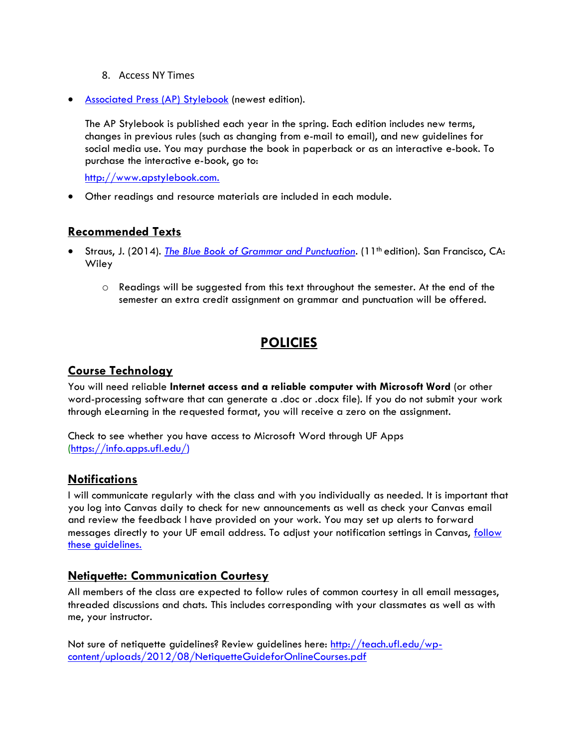#### 8. Access NY Times

• [Associated Press \(AP\) Stylebook](https://www.apstylebook.com/) (newest edition).

The AP Stylebook is published each year in the spring. Each edition includes new terms, changes in previous rules (such as changing from e-mail to email), and new guidelines for social media use. You may purchase the book in paperback or as an interactive e-book. To purchase the interactive e-book, go to:

[http://www.apstylebook.com.](http://www.apstylebook.com/)

• Other readings and resource materials are included in each module.

#### **Recommended Texts**

- Straus, J. (2014). *[The Blue Book of Grammar and Punctuation.](https://www.grammarbook.com/grammar_book.asp)* (11th edition). San Francisco, CA: **Wiley** 
	- $\circ$  Readings will be suggested from this text throughout the semester. At the end of the semester an extra credit assignment on grammar and punctuation will be offered.

# **POLICIES**

#### **Course Technology**

You will need reliable **Internet access and a reliable computer with Microsoft Word** (or other word-processing software that can generate a .doc or .docx file). If you do not submit your work through eLearning in the requested format, you will receive a zero on the assignment.

Check to see whether you have access to Microsoft Word through UF Apps [\(https://info.apps.ufl.edu/\)](https://info.apps.ufl.edu/)

#### **Notifications**

I will communicate regularly with the class and with you individually as needed. It is important that you log into Canvas daily to check for new announcements as well as check your Canvas email and review the feedback I have provided on your work. You may set up alerts to forward messages directly to your UF email address. To adjust your notification settings in Canvas, [follow](https://community.canvaslms.com/docs/DOC-10624)  [these guidelines.](https://community.canvaslms.com/docs/DOC-10624)

#### **Netiquette: Communication Courtesy**

All members of the class are expected to follow rules of common courtesy in all email messages, threaded discussions and chats. This includes corresponding with your classmates as well as with me, your instructor.

Not sure of netiquette guidelines? Review guidelines here: [http://teach.ufl.edu/wp](http://teach.ufl.edu/wp-content/uploads/2012/08/NetiquetteGuideforOnlineCourses.pdf)[content/uploads/2012/08/NetiquetteGuideforOnlineCourses.pdf](http://teach.ufl.edu/wp-content/uploads/2012/08/NetiquetteGuideforOnlineCourses.pdf)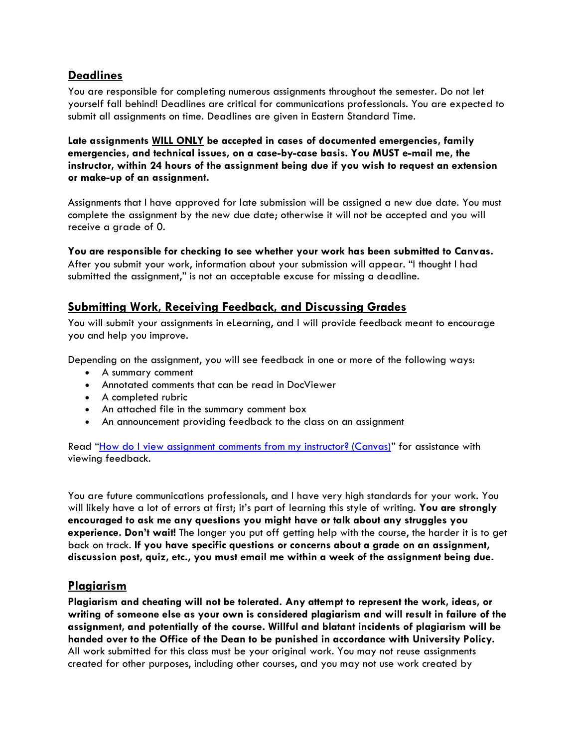#### **Deadlines**

You are responsible for completing numerous assignments throughout the semester. Do not let yourself fall behind! Deadlines are critical for communications professionals. You are expected to submit all assignments on time. Deadlines are given in Eastern Standard Time.

**Late assignments WILL ONLY be accepted in cases of documented emergencies, family emergencies, and technical issues, on a case-by-case basis. You MUST e-mail me, the instructor, within 24 hours of the assignment being due if you wish to request an extension or make-up of an assignment.**

Assignments that I have approved for late submission will be assigned a new due date. You must complete the assignment by the new due date; otherwise it will not be accepted and you will receive a grade of 0.

**You are responsible for checking to see whether your work has been submitted to Canvas.**

After you submit your work, information about your submission will appear. "I thought I had submitted the assignment," is not an acceptable excuse for missing a deadline.

## **Submitting Work, Receiving Feedback, and Discussing Grades**

You will submit your assignments in eLearning, and I will provide feedback meant to encourage you and help you improve.

Depending on the assignment, you will see feedback in one or more of the following ways:

- A summary comment
- Annotated comments that can be read in DocViewer
- A completed rubric
- An attached file in the summary comment box
- An announcement providing feedback to the class on an assignment

Read "[How do I view assignment comments from my instructor? \(Canvas\)](https://community.canvaslms.com/docs/DOC-10666-421254359)" for assistance with viewing feedback.

You are future communications professionals, and I have very high standards for your work. You will likely have a lot of errors at first; it's part of learning this style of writing. **You are strongly encouraged to ask me any questions you might have or talk about any struggles you experience. Don't wait!** The longer you put off getting help with the course, the harder it is to get back on track. **If you have specific questions or concerns about a grade on an assignment, discussion post, quiz, etc., you must email me within a week of the assignment being due.**

#### **Plagiarism**

**Plagiarism and cheating will not be tolerated. Any attempt to represent the work, ideas, or writing of someone else as your own is considered plagiarism and will result in failure of the assignment, and potentially of the course. Willful and blatant incidents of plagiarism will be handed over to the Office of the Dean to be punished in accordance with University Policy.** All work submitted for this class must be your original work. You may not reuse assignments created for other purposes, including other courses, and you may not use work created by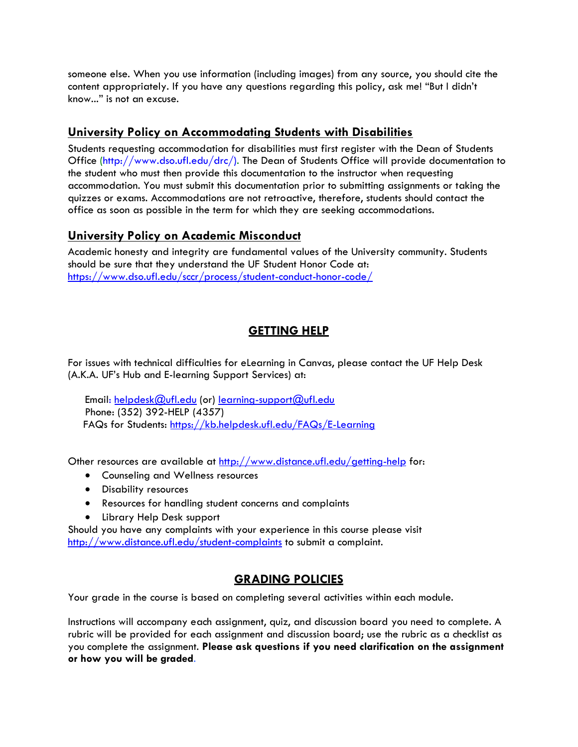someone else. When you use information (including images) from any source, you should cite the content appropriately. If you have any questions regarding this policy, ask me! "But I didn't know..." is not an excuse.

### **University Policy on Accommodating Students with Disabilities**

Students requesting accommodation for disabilities must first register with the Dean of Students Office [\(http://www.dso.ufl.edu/drc/\)](http://www.dso.ufl.edu/drc/). The Dean of Students Office will provide documentation to the student who must then provide this documentation to the instructor when requesting accommodation. You must submit this documentation prior to submitting assignments or taking the quizzes or exams. Accommodations are not retroactive, therefore, students should contact the office as soon as possible in the term for which they are seeking accommodations.

#### **University Policy on Academic Misconduct**

Academic honesty and integrity are fundamental values of the University community. Students should be sure that they understand the UF Student Honor Code at: <https://www.dso.ufl.edu/sccr/process/student-conduct-honor-code/>

## **GETTING HELP**

For issues with technical difficulties for eLearning in Canvas, please contact the UF Help Desk (A.K.A. UF's Hub and E-learning Support Services) at:

Email: [helpdesk@ufl.edu](mailto:helpdesk@ufl.edu) (or) [learning-support@ufl.edu](mailto:learning-support@ufl.edu) Phone: (352) 392-HELP (4357) FAQs for Students:<https://kb.helpdesk.ufl.edu/FAQs/E-Learning>

Other resources are available at<http://www.distance.ufl.edu/getting-help> for:

- Counseling and Wellness resources
- Disability resources
- Resources for handling student concerns and complaints
- Library Help Desk support

Should you have any complaints with your experience in this course please visit <http://www.distance.ufl.edu/student-complaints> to submit a complaint.

## **GRADING POLICIES**

Your grade in the course is based on completing several activities within each module.

Instructions will accompany each assignment, quiz, and discussion board you need to complete. A rubric will be provided for each assignment and discussion board; use the rubric as a checklist as you complete the assignment. **Please ask questions if you need clarification on the assignment or how you will be graded**.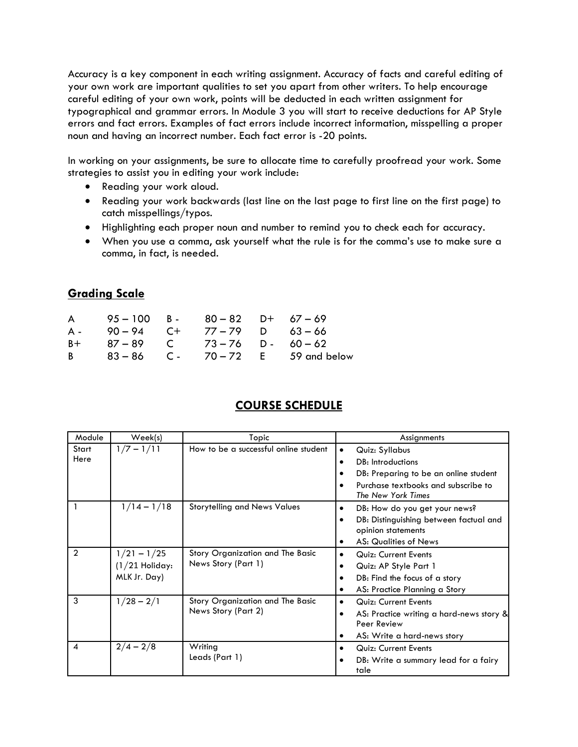Accuracy is a key component in each writing assignment. Accuracy of facts and careful editing of your own work are important qualities to set you apart from other writers. To help encourage careful editing of your own work, points will be deducted in each written assignment for typographical and grammar errors. In Module 3 you will start to receive deductions for AP Style errors and fact errors. Examples of fact errors include incorrect information, misspelling a proper noun and having an incorrect number. Each fact error is -20 points.

In working on your assignments, be sure to allocate time to carefully proofread your work. Some strategies to assist you in editing your work include:

- Reading your work aloud.
- Reading your work backwards (last line on the last page to first line on the first page) to catch misspellings/typos.
- Highlighting each proper noun and number to remind you to check each for accuracy.
- When you use a comma, ask yourself what the rule is for the comma's use to make sure a comma, in fact, is needed.

## **Grading Scale**

| $\mathsf{A}$   | 95-100 B- 80-82 D+ 67-69 |               |                                        |
|----------------|--------------------------|---------------|----------------------------------------|
| A -            | $90 - 94$ C+             | 77–79 D 63–66 |                                        |
| B+             | 87–89 C 73–76 D- 60–62   |               |                                        |
| B <sub>a</sub> |                          |               | $83 - 86$ C - $70 - 72$ E 59 and below |

## **COURSE SCHEDULE**

| Module         | Week(s)                                           | Topic                                                   | Assignments                                               |  |
|----------------|---------------------------------------------------|---------------------------------------------------------|-----------------------------------------------------------|--|
| Start          | $1/7 - 1/11$                                      | How to be a successful online student                   | Quiz: Syllabus<br>$\bullet$                               |  |
| Here           |                                                   |                                                         | DB: Introductions                                         |  |
|                |                                                   |                                                         | DB: Preparing to be an online student                     |  |
|                |                                                   |                                                         | Purchase textbooks and subscribe to<br>The New York Times |  |
|                | $1/14 - 1/18$                                     | <b>Storytelling and News Values</b>                     | DB: How do you get your news?<br>٠                        |  |
|                |                                                   |                                                         | DB: Distinguishing between factual and                    |  |
|                |                                                   |                                                         | opinion statements                                        |  |
|                |                                                   |                                                         | <b>AS: Qualities of News</b>                              |  |
| $\overline{2}$ | $1/21 - 1/25$<br>$(1/21$ Holiday:<br>MLK Jr. Day) | Story Organization and The Basic<br>News Story (Part 1) | Quiz: Current Events<br>$\bullet$                         |  |
|                |                                                   |                                                         | Quiz: AP Style Part 1                                     |  |
|                |                                                   |                                                         | DB: Find the focus of a story                             |  |
|                |                                                   |                                                         | AS: Practice Planning a Story<br>٠                        |  |
| 3              | $1/28 - 2/1$                                      | Story Organization and The Basic                        | Quiz: Current Events<br>$\bullet$                         |  |
|                |                                                   | News Story (Part 2)                                     | AS: Practice writing a hard-news story &                  |  |
|                |                                                   |                                                         | Peer Review                                               |  |
|                |                                                   |                                                         | AS: Write a hard-news story                               |  |
| 4              | $2/4 - 2/8$                                       | Writing<br>Leads (Part 1)                               | Quiz: Current Events<br>$\bullet$                         |  |
|                |                                                   |                                                         | DB: Write a summary lead for a fairy<br>tale              |  |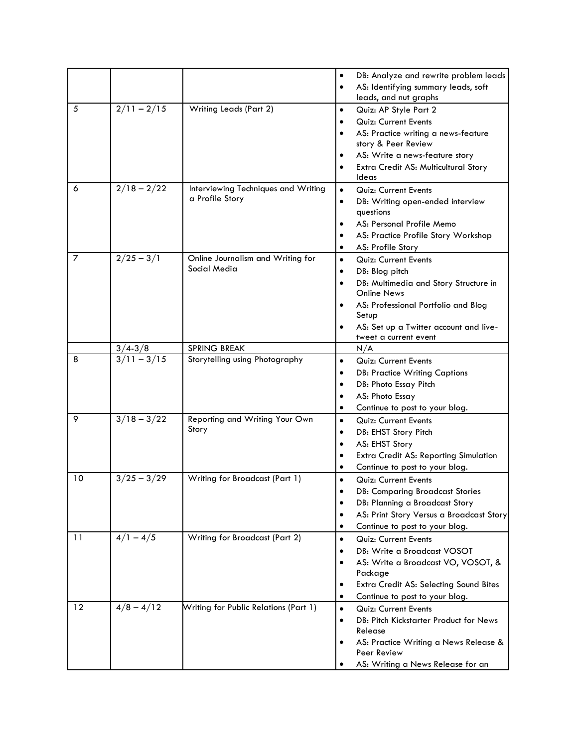|    |                                 |                                                   | $\bullet$<br>$\bullet$ | DB: Analyze and rewrite problem leads<br>AS: Identifying summary leads, soft |
|----|---------------------------------|---------------------------------------------------|------------------------|------------------------------------------------------------------------------|
|    |                                 |                                                   |                        | leads, and nut graphs                                                        |
| 5  | $2/11 - 2/15$                   | Writing Leads (Part 2)                            | $\bullet$              | Quiz: AP Style Part 2                                                        |
|    |                                 |                                                   |                        | Quiz: Current Events                                                         |
|    |                                 |                                                   |                        | AS: Practice writing a news-feature                                          |
|    |                                 |                                                   |                        | story & Peer Review                                                          |
|    |                                 |                                                   |                        | AS: Write a news-feature story                                               |
|    |                                 |                                                   |                        | Extra Credit AS: Multicultural Story                                         |
|    |                                 |                                                   |                        | Ideas                                                                        |
| 6  | $2/18 - 2/22$                   | Interviewing Techniques and Writing               | $\bullet$              | Quiz: Current Events                                                         |
|    |                                 | a Profile Story                                   | $\bullet$              | DB: Writing open-ended interview                                             |
|    |                                 |                                                   |                        | questions                                                                    |
|    |                                 |                                                   |                        | AS: Personal Profile Memo                                                    |
|    |                                 |                                                   |                        | AS: Practice Profile Story Workshop                                          |
|    |                                 |                                                   | ٠                      | AS: Profile Story                                                            |
| 7  | $\frac{2}{25} - \frac{3}{1}$    | Online Journalism and Writing for<br>Social Media | $\bullet$              | Quiz: Current Events                                                         |
|    |                                 |                                                   | ٠                      | DB: Blog pitch                                                               |
|    |                                 |                                                   |                        | DB: Multimedia and Story Structure in                                        |
|    |                                 |                                                   |                        | <b>Online News</b>                                                           |
|    |                                 |                                                   |                        | AS: Professional Portfolio and Blog                                          |
|    |                                 |                                                   |                        | Setup<br>AS: Set up a Twitter account and live-                              |
|    |                                 |                                                   |                        | tweet a current event                                                        |
|    | $3/4 - 3/8$                     | <b>SPRING BREAK</b>                               |                        | N/A                                                                          |
| 8  | $3/11 - 3/15$                   | Storytelling using Photography                    | $\bullet$              | Quiz: Current Events                                                         |
|    |                                 |                                                   |                        | <b>DB: Practice Writing Captions</b>                                         |
|    |                                 |                                                   | $\bullet$              | DB: Photo Essay Pitch                                                        |
|    |                                 |                                                   | ٠                      | AS: Photo Essay                                                              |
|    |                                 |                                                   | ٠                      | Continue to post to your blog.                                               |
| 9  | $3/18 - 3/22$                   | Reporting and Writing Your Own                    | $\bullet$              | Quiz: Current Events                                                         |
|    |                                 | Story                                             | $\bullet$              | DB: EHST Story Pitch                                                         |
|    |                                 |                                                   | $\bullet$              | AS: EHST Story                                                               |
|    |                                 |                                                   | ٠                      | Extra Credit AS: Reporting Simulation                                        |
|    |                                 |                                                   | ٠                      | Continue to post to your blog.                                               |
| 10 | $\frac{1}{3}/25 - \frac{3}{29}$ | Writing for Broadcast (Part 1)                    | $\bullet$              | Quiz: Current Events                                                         |
|    |                                 |                                                   |                        | <b>DB: Comparing Broadcast Stories</b>                                       |
|    |                                 |                                                   |                        | DB: Planning a Broadcast Story                                               |
|    |                                 |                                                   | ٠                      | AS: Print Story Versus a Broadcast Story                                     |
|    |                                 |                                                   | ٠                      | Continue to post to your blog.                                               |
| 11 | $4/1 - 4/5$                     | Writing for Broadcast (Part 2)                    | $\bullet$              | Quiz: Current Events                                                         |
|    |                                 |                                                   | $\bullet$              | DB: Write a Broadcast VOSOT                                                  |
|    |                                 |                                                   | $\bullet$              | AS: Write a Broadcast VO, VOSOT, &                                           |
|    |                                 |                                                   |                        | Package                                                                      |
|    |                                 |                                                   | $\bullet$              | Extra Credit AS: Selecting Sound Bites                                       |
|    |                                 |                                                   | $\bullet$              | Continue to post to your blog.                                               |
| 12 | $4/8 - 4/12$                    | Writing for Public Relations (Part 1)             | $\bullet$              | Quiz: Current Events                                                         |
|    |                                 |                                                   | $\bullet$              | DB: Pitch Kickstarter Product for News                                       |
|    |                                 |                                                   |                        | Release                                                                      |
|    |                                 |                                                   |                        | AS: Practice Writing a News Release &<br>Peer Review                         |
|    |                                 |                                                   |                        | AS: Writing a News Release for an                                            |